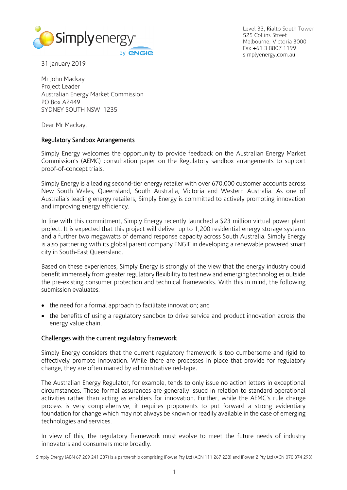

Level 33, Rialto South Tower 525 Collins Street Melbourne, Victoria 3000 Fax +61 3 8807 1199 simplyenergy.com.au

31 January 2019

Mr John Mackay Project Leader Australian Energy Market Commission PO Box A2449 SYDNEY SOUTH NSW 1235

Dear Mr Mackay,

### Regulatory Sandbox Arrangements

Simply Energy welcomes the opportunity to provide feedback on the Australian Energy Market Commission's (AEMC) consultation paper on the Regulatory sandbox arrangements to support proof-of-concept trials.

Simply Energy is a leading second-tier energy retailer with over 670,000 customer accounts across New South Wales, Queensland, South Australia, Victoria and Western Australia. As one of Australia's leading energy retailers, Simply Energy is committed to actively promoting innovation and improving energy efficiency.

In line with this commitment, Simply Energy recently launched a \$23 million virtual power plant project. It is expected that this project will deliver up to 1,200 residential energy storage systems and a further two megawatts of demand response capacity across South Australia. Simply Energy is also partnering with its global parent company ENGIE in developing a renewable powered smart city in South-East Queensland.

Based on these experiences, Simply Energy is strongly of the view that the energy industry could benefit immensely from greater regulatory flexibility to test new and emerging technologies outside the pre-existing consumer protection and technical frameworks. With this in mind, the following submission evaluates:

- the need for a formal approach to facilitate innovation; and
- the benefits of using a regulatory sandbox to drive service and product innovation across the energy value chain.

#### Challenges with the current regulatory framework

Simply Energy considers that the current regulatory framework is too cumbersome and rigid to effectively promote innovation. While there are processes in place that provide for regulatory change, they are often marred by administrative red-tape.

The Australian Energy Regulator, for example, tends to only issue no action letters in exceptional circumstances. These formal assurances are generally issued in relation to standard operational activities rather than acting as enablers for innovation. Further, while the AEMC's rule change process is very comprehensive, it requires proponents to put forward a strong evidentiary foundation for change which may not always be known or readily available in the case of emerging technologies and services.

In view of this, the regulatory framework must evolve to meet the future needs of industry innovators and consumers more broadly.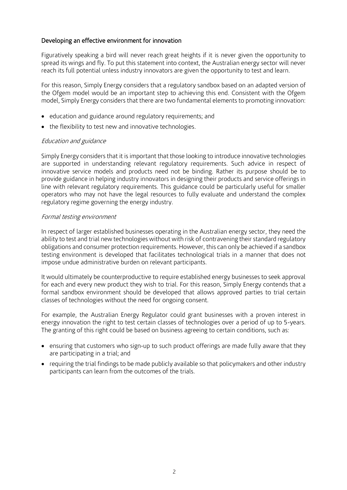## Developing an effective environment for innovation

Figuratively speaking a bird will never reach great heights if it is never given the opportunity to spread its wings and fly. To put this statement into context, the Australian energy sector will never reach its full potential unless industry innovators are given the opportunity to test and learn.

For this reason, Simply Energy considers that a regulatory sandbox based on an adapted version of the Ofgem model would be an important step to achieving this end. Consistent with the Ofgem model, Simply Energy considers that there are two fundamental elements to promoting innovation:

- education and guidance around regulatory requirements; and
- the flexibility to test new and innovative technologies.

### Education and guidance

Simply Energy considers that it is important that those looking to introduce innovative technologies are supported in understanding relevant regulatory requirements. Such advice in respect of innovative service models and products need not be binding. Rather its purpose should be to provide guidance in helping industry innovators in designing their products and service offerings in line with relevant regulatory requirements. This guidance could be particularly useful for smaller operators who may not have the legal resources to fully evaluate and understand the complex regulatory regime governing the energy industry.

#### Formal testing environment

In respect of larger established businesses operating in the Australian energy sector, they need the ability to test and trial new technologies without with risk of contravening their standard regulatory obligations and consumer protection requirements. However, this can only be achieved if a sandbox testing environment is developed that facilitates technological trials in a manner that does not impose undue administrative burden on relevant participants.

It would ultimately be counterproductive to require established energy businesses to seek approval for each and every new product they wish to trial. For this reason, Simply Energy contends that a formal sandbox environment should be developed that allows approved parties to trial certain classes of technologies without the need for ongoing consent.

For example, the Australian Energy Regulator could grant businesses with a proven interest in energy innovation the right to test certain classes of technologies over a period of up to 5-years. The granting of this right could be based on business agreeing to certain conditions, such as:

- ensuring that customers who sign-up to such product offerings are made fully aware that they are participating in a trial; and
- requiring the trial findings to be made publicly available so that policymakers and other industry participants can learn from the outcomes of the trials.